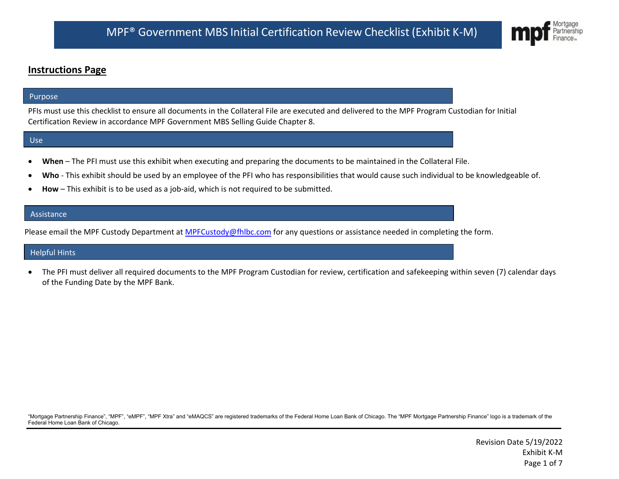## **Instructions Page**

#### Purpose

PFIs must use this checklist to ensure all documents in the Collateral File are executed and delivered to the MPF Program Custodian for Initial Certification Review in accordance MPF Government MBS Selling Guide Chapter 8.

#### Use

- **When** The PFI must use this exhibit when executing and preparing the documents to be maintained in the Collateral File.
- Who This exhibit should be used by an employee of the PFI who has responsibilities that would cause such individual to be knowledgeable of.
- **How** This exhibit is to be used as a job-aid, which is not required to be submitted.

#### **Assistance**

Please email the MPF Custody Department at [MPFCustody@fhlbc.com](mailto:MPFCustody@fhlbc.com) for any questions or assistance needed in completing the form.

#### Helpful Hints

• The PFI must deliver all required documents to the MPF Program Custodian for review, certification and safekeeping within seven (7) calendar days of the Funding Date by the MPF Bank.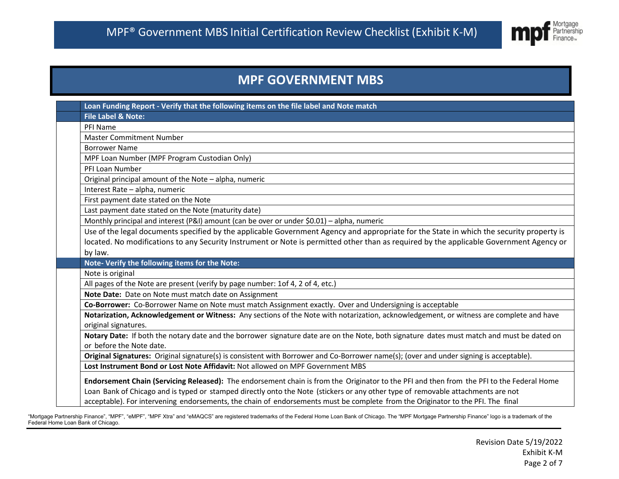

# **MPF GOVERNMENT MBS**

|  | Loan Funding Report - Verify that the following items on the file label and Note match                                                                          |
|--|-----------------------------------------------------------------------------------------------------------------------------------------------------------------|
|  | <b>File Label &amp; Note:</b>                                                                                                                                   |
|  | PFI Name                                                                                                                                                        |
|  | <b>Master Commitment Number</b>                                                                                                                                 |
|  | <b>Borrower Name</b>                                                                                                                                            |
|  | MPF Loan Number (MPF Program Custodian Only)                                                                                                                    |
|  | PFI Loan Number                                                                                                                                                 |
|  | Original principal amount of the Note - alpha, numeric                                                                                                          |
|  | Interest Rate - alpha, numeric                                                                                                                                  |
|  | First payment date stated on the Note                                                                                                                           |
|  | Last payment date stated on the Note (maturity date)                                                                                                            |
|  | Monthly principal and interest (P&I) amount (can be over or under \$0.01) - alpha, numeric                                                                      |
|  | Use of the legal documents specified by the applicable Government Agency and appropriate for the State in which the security property is                        |
|  | located. No modifications to any Security Instrument or Note is permitted other than as required by the applicable Government Agency or                         |
|  | by law.                                                                                                                                                         |
|  | Note- Verify the following items for the Note:                                                                                                                  |
|  | Note is original                                                                                                                                                |
|  | All pages of the Note are present (verify by page number: 1of 4, 2 of 4, etc.)                                                                                  |
|  | Note Date: Date on Note must match date on Assignment                                                                                                           |
|  | Co-Borrower: Co-Borrower Name on Note must match Assignment exactly. Over and Undersigning is acceptable                                                        |
|  | Notarization, Acknowledgement or Witness: Any sections of the Note with notarization, acknowledgement, or witness are complete and have<br>original signatures. |
|  | Notary Date: If both the notary date and the borrower signature date are on the Note, both signature dates must match and must be dated on                      |
|  | or before the Note date.                                                                                                                                        |
|  | Original Signatures: Original signature(s) is consistent with Borrower and Co-Borrower name(s); (over and under signing is acceptable).                         |
|  | Lost Instrument Bond or Lost Note Affidavit: Not allowed on MPF Government MBS                                                                                  |
|  | Endorsement Chain (Servicing Released): The endorsement chain is from the Originator to the PFI and then from the PFI to the Federal Home                       |
|  | Loan Bank of Chicago and is typed or stamped directly onto the Note (stickers or any other type of removable attachments are not                                |
|  | acceptable). For intervening endorsements, the chain of endorsements must be complete from the Originator to the PFI. The final                                 |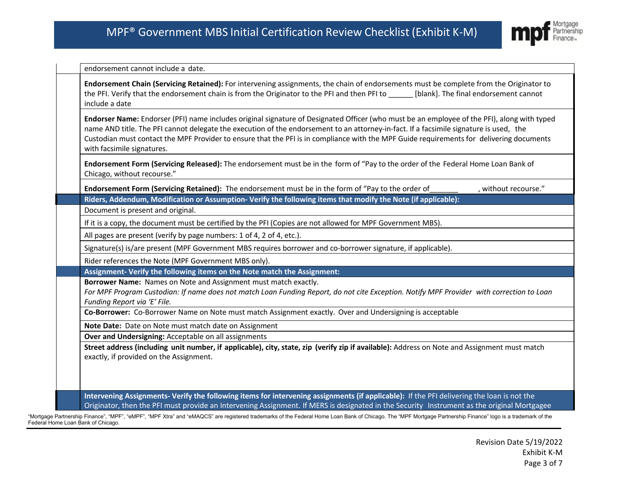

endorsement cannot include a date.

**Endorsement Chain (Servicing Retained):** For intervening assignments, the chain of endorsements must be complete from the Originator to the PFI. Verify that the endorsement chain is from the Originator to the PFI and then PFI to \_\_\_\_\_\_ [blank]. The final endorsement cannot include a date

**Endorser Name:** Endorser (PFI) name includes original signature of Designated Officer (who must be an employee of the PFI), along with typed name AND title. The PFI cannot delegate the execution of the endorsement to an attorney-in-fact. If a facsimile signature is used, the Custodian must contact the MPF Provider to ensure that the PFI is in compliance with the MPF Guide requirements for delivering documents with facsimile signatures.

**Endorsement Form (Servicing Released):** The endorsement must be in the form of "Pay to the order of the Federal Home Loan Bank of Chicago, without recourse."

**Endorsement Form (Servicing Retained):** The endorsement must be in the form of "Pay to the order of  $\blacksquare$ , without recourse."

**Riders, Addendum, Modification or Assumption- Verify the following items that modify the Note (if applicable):**

Document is present and original.

If it is a copy, the document must be certified by the PFI (Copies are not allowed for MPF Government MBS).

All pages are present (verify by page numbers: 1 of 4, 2 of 4, etc.).

Signature(s) is/are present (MPF Government MBS requires borrower and co-borrower signature, if applicable).

Rider references the Note (MPF Government MBS only).

**Assignment- Verify the following items on the Note match the Assignment:**

**Borrower Name:** Names on Note and Assignment must match exactly.

For MPF Program Custodian: If name does not match Loan Funding Report, do not cite Exception. Notify MPF Provider with correction to Loan *Funding Report via 'E' File.*

**Co-Borrower:** Co-Borrower Name on Note must match Assignment exactly. Over and Undersigning is acceptable

**Note Date:** Date on Note must match date on Assignment

**Over and Undersigning:** Acceptable on all assignments

Street address (including unit number, if applicable), city, state, zip (verify zip if available): Address on Note and Assignment must match exactly, if provided on the Assignment.

**Intervening Assignments- Verify the following items for intervening assignments (if applicable):** If the PFI delivering the loan is not the Originator, then the PFI must provide an Intervening Assignment. If MERS is designated in the Security Instrument as the original Mortgagee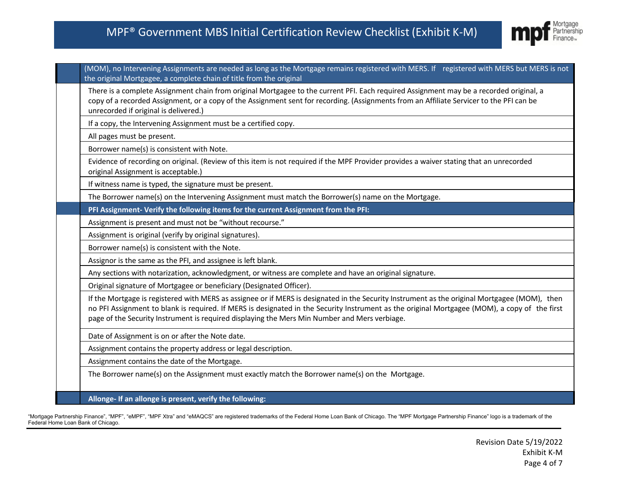## MPF® Government MBS Initial Certification Review Checklist (Exhibit K-M)



(MOM), no Intervening Assignments are needed as long as the Mortgage remains registered with MERS. If registered with MERS but MERS is not the original Mortgagee, a complete chain of title from the original

There is a complete Assignment chain from original Mortgagee to the current PFI. Each required Assignment may be a recorded original, a copy of a recorded Assignment, or a copy of the Assignment sent for recording. (Assignments from an Affiliate Servicer to the PFI can be unrecorded if original is delivered.)

If a copy, the Intervening Assignment must be a certified copy.

All pages must be present.

Borrower name(s) is consistent with Note.

 Evidence of recording on original. (Review of this item is not required if the MPF Provider provides a waiver stating that an unrecorded original Assignment is acceptable.)

If witness name is typed, the signature must be present.

The Borrower name(s) on the Intervening Assignment must match the Borrower(s) name on the Mortgage.

**PFI Assignment- Verify the following items for the current Assignment from the PFI:**

Assignment is present and must not be "without recourse."

Assignment is original (verify by original signatures).

Borrower name(s) is consistent with the Note.

Assignor is the same as the PFI, and assignee is left blank.

Any sections with notarization, acknowledgment, or witness are complete and have an original signature.

Original signature of Mortgagee or beneficiary (Designated Officer).

 If the Mortgage is registered with MERS as assignee or if MERS is designated in the Security Instrument as the original Mortgagee (MOM), then no PFI Assignment to blank is required. If MERS is designated in the Security Instrument as the original Mortgagee (MOM), a copy of the first page of the Security Instrument is required displaying the Mers Min Number and Mers verbiage.

Date of Assignment is on or after the Note date.

Assignment contains the property address or legal description.

Assignment contains the date of the Mortgage.

The Borrower name(s) on the Assignment must exactly match the Borrower name(s) on the Mortgage.

**Allonge- If an allonge is present, verify the following:**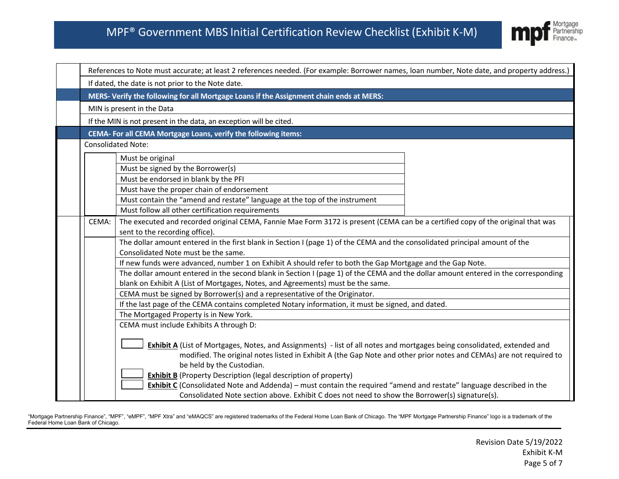

| References to Note must accurate; at least 2 references needed. (For example: Borrower names, loan number, Note date, and property address.)                                                                                                    |
|-------------------------------------------------------------------------------------------------------------------------------------------------------------------------------------------------------------------------------------------------|
| If dated, the date is not prior to the Note date.                                                                                                                                                                                               |
| MERS-Verify the following for all Mortgage Loans if the Assignment chain ends at MERS:                                                                                                                                                          |
| MIN is present in the Data                                                                                                                                                                                                                      |
| If the MIN is not present in the data, an exception will be cited.                                                                                                                                                                              |
| CEMA- For all CEMA Mortgage Loans, verify the following items:                                                                                                                                                                                  |
| <b>Consolidated Note:</b>                                                                                                                                                                                                                       |
| Must be original                                                                                                                                                                                                                                |
| Must be signed by the Borrower(s)                                                                                                                                                                                                               |
| Must be endorsed in blank by the PFI                                                                                                                                                                                                            |
| Must have the proper chain of endorsement                                                                                                                                                                                                       |
| Must contain the "amend and restate" language at the top of the instrument                                                                                                                                                                      |
| Must follow all other certification requirements                                                                                                                                                                                                |
| The executed and recorded original CEMA, Fannie Mae Form 3172 is present (CEMA can be a certified copy of the original that was                                                                                                                 |
| sent to the recording office).                                                                                                                                                                                                                  |
| The dollar amount entered in the first blank in Section I (page 1) of the CEMA and the consolidated principal amount of the                                                                                                                     |
| Consolidated Note must be the same.                                                                                                                                                                                                             |
| If new funds were advanced, number 1 on Exhibit A should refer to both the Gap Mortgage and the Gap Note.                                                                                                                                       |
| The dollar amount entered in the second blank in Section I (page 1) of the CEMA and the dollar amount entered in the corresponding                                                                                                              |
| blank on Exhibit A (List of Mortgages, Notes, and Agreements) must be the same.                                                                                                                                                                 |
| CEMA must be signed by Borrower(s) and a representative of the Originator.                                                                                                                                                                      |
| If the last page of the CEMA contains completed Notary information, it must be signed, and dated.                                                                                                                                               |
| The Mortgaged Property is in New York.                                                                                                                                                                                                          |
| CEMA must include Exhibits A through D:                                                                                                                                                                                                         |
|                                                                                                                                                                                                                                                 |
| Exhibit A (List of Mortgages, Notes, and Assignments) - list of all notes and mortgages being consolidated, extended and<br>modified. The original notes listed in Exhibit A (the Gap Note and other prior notes and CEMAs) are not required to |
| be held by the Custodian.                                                                                                                                                                                                                       |
| <b>Exhibit B</b> (Property Description (legal description of property)                                                                                                                                                                          |
| Exhibit C (Consolidated Note and Addenda) - must contain the required "amend and restate" language described in the                                                                                                                             |
| Consolidated Note section above. Exhibit C does not need to show the Borrower(s) signature(s).                                                                                                                                                  |
| CEMA:                                                                                                                                                                                                                                           |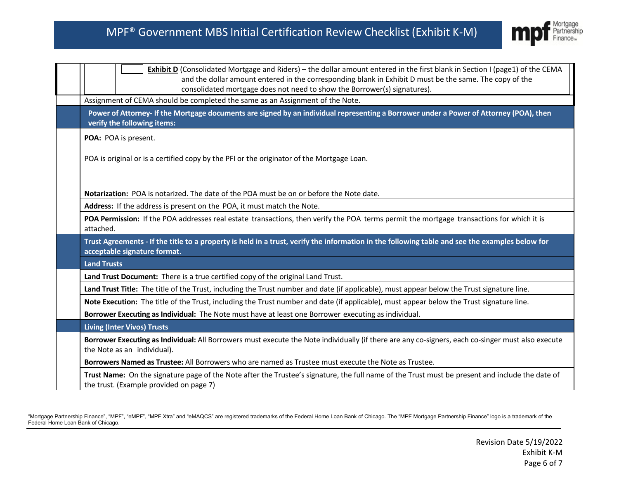

| Exhibit D (Consolidated Mortgage and Riders) – the dollar amount entered in the first blank in Section I (page1) of the CEMA<br>and the dollar amount entered in the corresponding blank in Exhibit D must be the same. The copy of the |  |  |
|-----------------------------------------------------------------------------------------------------------------------------------------------------------------------------------------------------------------------------------------|--|--|
| consolidated mortgage does not need to show the Borrower(s) signatures).                                                                                                                                                                |  |  |
| Assignment of CEMA should be completed the same as an Assignment of the Note.                                                                                                                                                           |  |  |
| Power of Attorney- If the Mortgage documents are signed by an individual representing a Borrower under a Power of Attorney (POA), then<br>verify the following items:                                                                   |  |  |
| POA: POA is present.                                                                                                                                                                                                                    |  |  |
| POA is original or is a certified copy by the PFI or the originator of the Mortgage Loan.                                                                                                                                               |  |  |
| Notarization: POA is notarized. The date of the POA must be on or before the Note date.                                                                                                                                                 |  |  |
| Address: If the address is present on the POA, it must match the Note.                                                                                                                                                                  |  |  |
| POA Permission: If the POA addresses real estate transactions, then verify the POA terms permit the mortgage transactions for which it is<br>attached.                                                                                  |  |  |
| Trust Agreements - If the title to a property is held in a trust, verify the information in the following table and see the examples below for<br>acceptable signature format.                                                          |  |  |
| <b>Land Trusts</b>                                                                                                                                                                                                                      |  |  |
| Land Trust Document: There is a true certified copy of the original Land Trust.                                                                                                                                                         |  |  |
| Land Trust Title: The title of the Trust, including the Trust number and date (if applicable), must appear below the Trust signature line.                                                                                              |  |  |
| Note Execution: The title of the Trust, including the Trust number and date (if applicable), must appear below the Trust signature line.                                                                                                |  |  |
| Borrower Executing as Individual: The Note must have at least one Borrower executing as individual.                                                                                                                                     |  |  |
| <b>Living (Inter Vivos) Trusts</b>                                                                                                                                                                                                      |  |  |
| Borrower Executing as Individual: All Borrowers must execute the Note individually (if there are any co-signers, each co-singer must also execute<br>the Note as an individual).                                                        |  |  |
| Borrowers Named as Trustee: All Borrowers who are named as Trustee must execute the Note as Trustee.                                                                                                                                    |  |  |
| Trust Name: On the signature page of the Note after the Trustee's signature, the full name of the Trust must be present and include the date of<br>the trust. (Example provided on page 7)                                              |  |  |